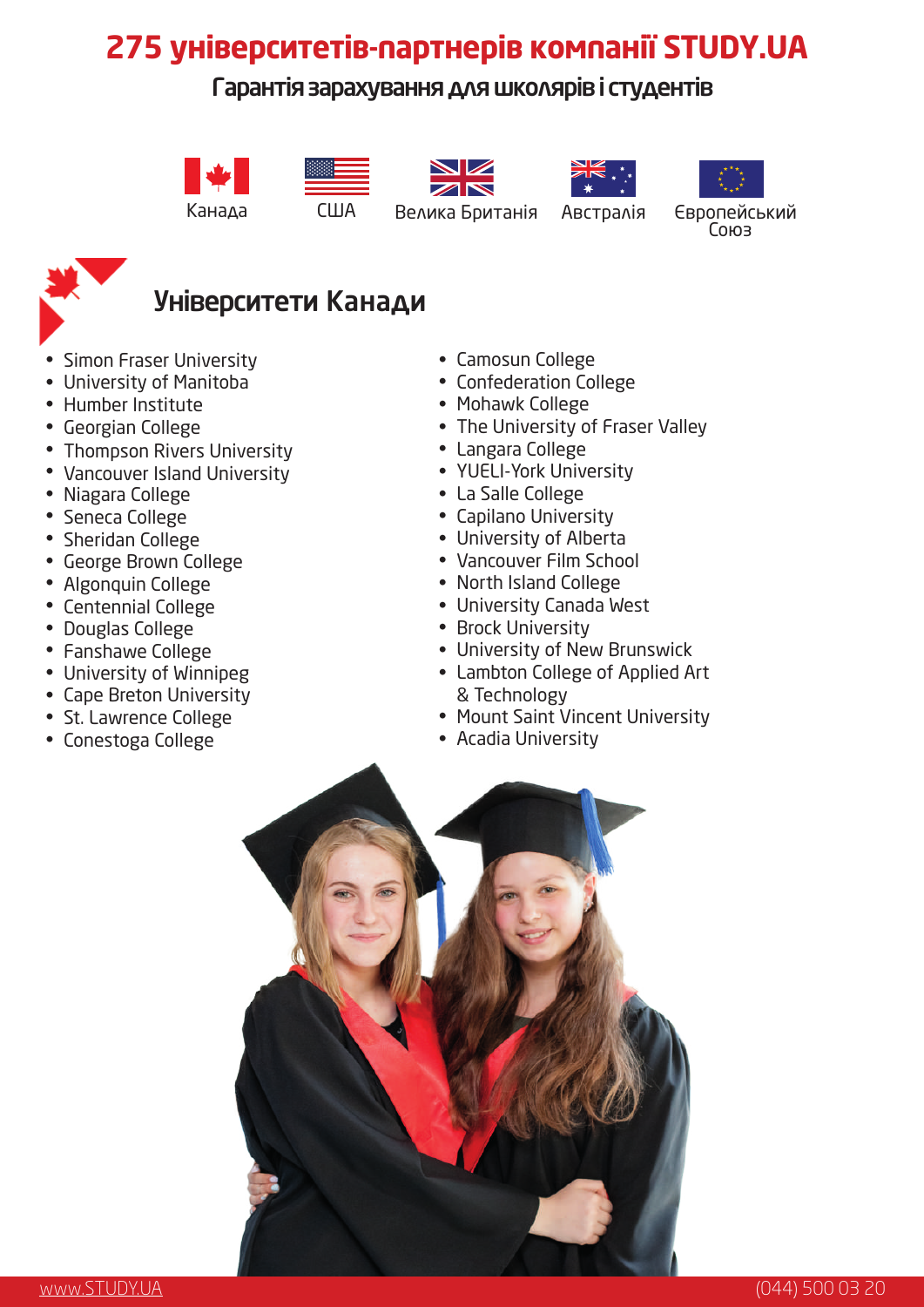# **275 університетів-партнерів компанії STUDY.UA**

### Гарантія зарахування для школярів і студентів













Канада США Велика Британія Австралія Європейський<br>Союз



## Університети Канади

- Simon Fraser University
- University of Manitoba
- Humber Institute
- Georgian College
- Thompson Rivers University
- Vancouver Island University
- Niagara College
- Seneca College
- Sheridan College
- George Brown College
- Algonquin College
- Centennial College
- Douglas College
- Fanshawe College
- University of Winnipeg
- Cape Breton University
- St. Lawrence College
- Conestoga College

#### • Camosun College

- Confederation College
- Mohawk College
- The University of Fraser Valley
- Langara College
- YUELI-York University
- La Salle College
- Capilano University
- University of Alberta
- Vancouver Film School •
- North Island College
- University Canada West •
- Brock University
- University of New Brunswick •
- Lambton College of Applied Art & Technology
- Mount Saint Vincent University
- Acadia University •

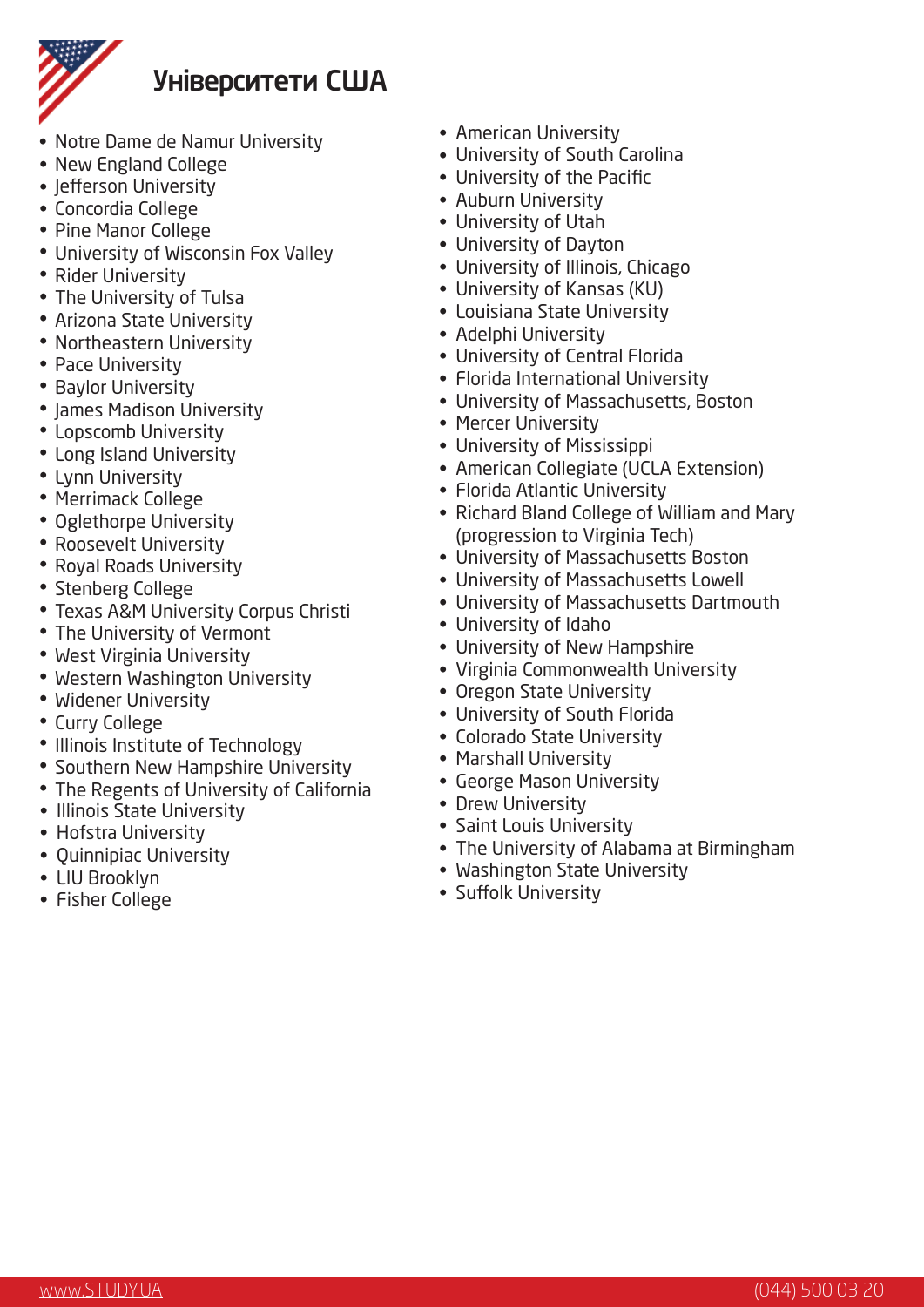

### Університети США

- Notre Dame de Namur University
- New England College
- Jefferson University
- Concordia College
- Pine Manor College
- University of Wisconsin Fox Valley
- Rider University
- The University of Tulsa
- Arizona State University
- Northeastern University
- Pace University
- Baylor University
- James Madison University
- Lopscomb University •
- Long Island University
- Lynn University
- Merrimack College
- Oglethorpe University
- Roosevelt University
- Royal Roads University
- Stenberg College
- Texas A&M University Corpus Christi
- The University of Vermont
- West Virginia University
- Western Washington University
- Widener University
- Curry College
- Illinois Institute of Technology
- Southern New Hampshire University
- The Regents of University of California
- Illinois State University
- Hofstra University
- Quinnipiac University
- LIU Brooklyn
- Fisher College
- American University
- University of South Carolina
- University of the Pacific
- Auburn University
- University of Utah
- University of Dayton
- University of Illinois, Chicago
- University of Kansas (KU)
- Louisiana State University
- Adelphi University
- University of Central Florida
- Florida International University
- University of Massachusetts, Boston
- Mercer University
- University of Mississippi
- American Collegiate (UCLA Extension)
- Florida Atlantic University
- Richard Bland College of William and Mary (progression to Virginia Tech)
- University of Massachusetts Boston
- University of Massachusetts Lowell
- University of Massachusetts Dartmouth
- University of Idaho
- University of New Hampshire
- Virginia Commonwealth University
- Oregon State University
- University of South Florida
- Colorado State University
- Marshall University
- George Mason University
- Drew University
- Saint Louis University
- The University of Alabama at Birmingham
- Washington State University
- Suffolk University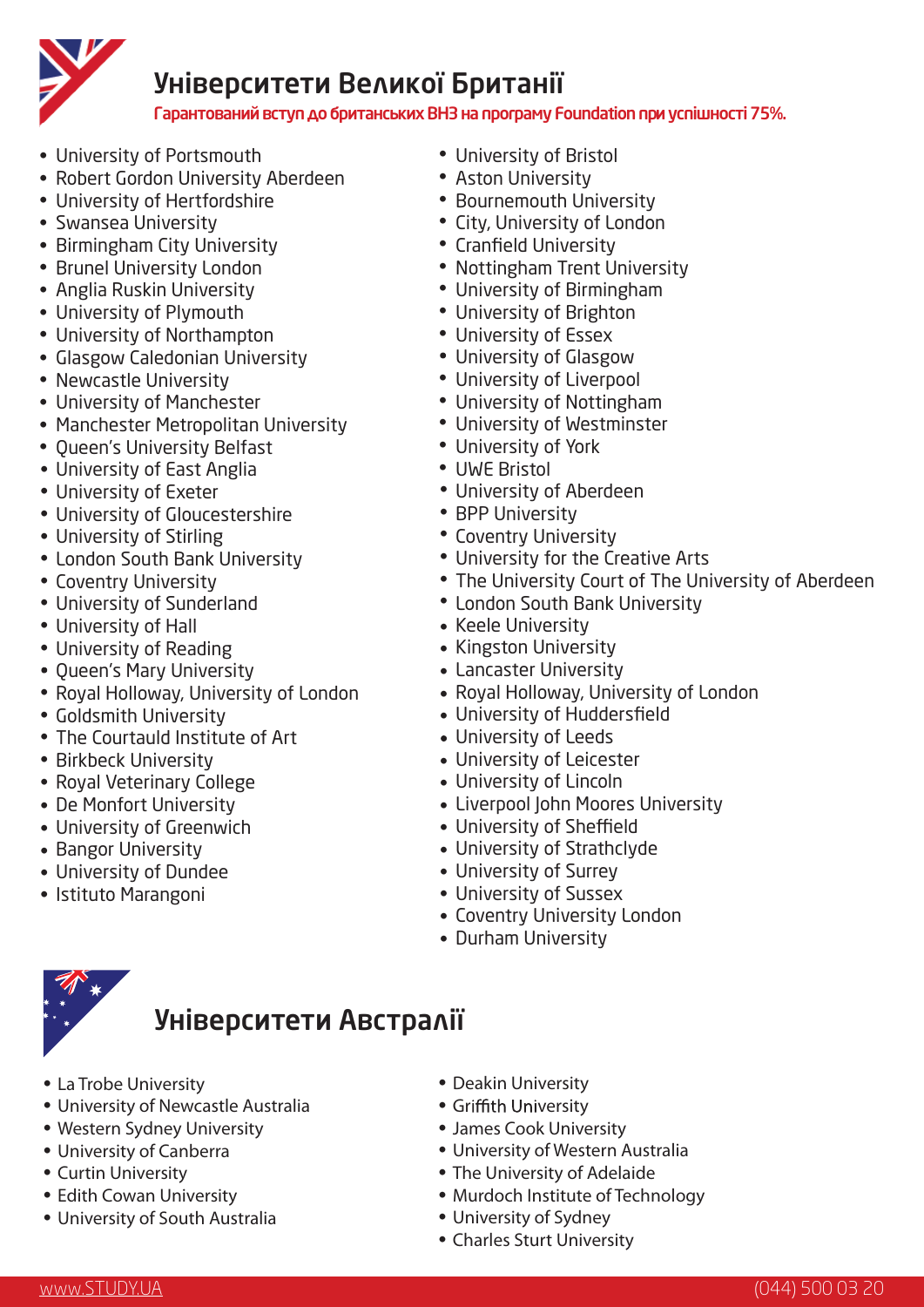

### Університети Великої Британії

Гарантований вступдобританських ВНЗ на програму Foundation приуспішності 75%.

- University of Portsmouth •
- Robert Gordon University Aberdeen
- University of Hertfordshire •
- Swansea University
- Birmingham City University
- Brunel University London
- Anglia Ruskin University
- University of Plymouth •
- University of Northampton
- Glasgow Caledonian University
- Newcastle University
- University of Manchester •
- Manchester Metropolitan University
- Queen's University Belfast
- University of East Anglia
- University of Exeter •
- University of Gloucestershire •
- University of Stirling •
- London South Bank University
- Coventry University •
- University of Sunderland •
- University of Hall •
- University of Reading •
- Queen's Mary University
- Royal Holloway, University of London
- Goldsmith University
- The Courtauld Institute of Art
- Birkbeck University
- Royal Veterinary College
- De Monfort University
- University of Greenwich •
- Bangor University
- University of Dundee •
- Istituto Marangoni
- University of Bristol •
- Aston University •
- Bournemouth University
- City, University of London
- Cranfield University
- Nottingham Trent University
- University of Birmingham •
- University of Brighton •
- University of Essex •
- University of Glasgow
- University of Liverpool
- University of Nottingham •
- University of Westminster •
- University of York •
- UWE Bristol •
- University of Aberdeen •
- BPP University
- Coventry University
- University for the Creative Arts
- The University Court of The University of Aberdeen
- London South Bank University
- Keele University
- Kingston University
- Lancaster University •
- Royal Holloway, University of London
- University of Huddersfield •
- University of Leeds
- University of Leicester •
- University of Lincoln •
- Liverpool John Moores University •
- University of Sheffield •
- University of Strathclyde •
- University of Surrey •
- University of Sussex •
- Coventry University London •
- Durham University



### Університети Австралії

- La Trobe University
- University of Newcastle Australia
- Western Sydney University
- University of Canberra
- Curtin University
- Edith Cowan University
- University of South Australia
- Deakin University
- Griffith University
- James Cook University •
- University of Western Australia
- The University of Adelaide
- Murdoch Institute of Technology
- University of Sydney

• Charles Sturt University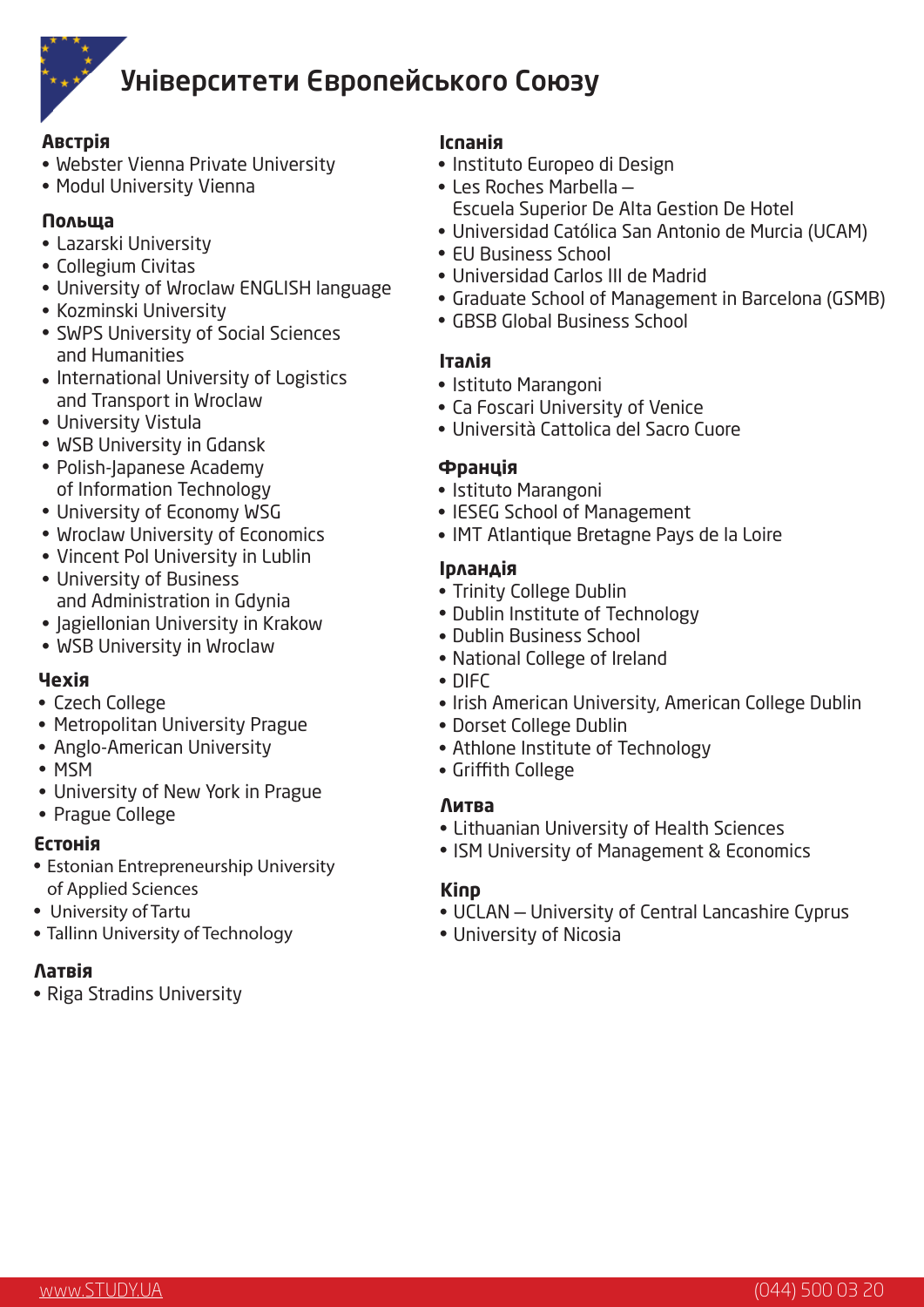

## Університети Європейського Союзу

#### **Австрія**

- Webster Vienna Private University
- Modul University Vienna

#### **Польща**

- Lazarski University
- Collegium Civitas
- University of Wroclaw ENGLISH language
- Kozminski University
- SWPS University of Social Sciences and Humanities
- International University of Logistics and Transport in Wroclaw
- University Vistula •
- WSB University in Gdansk •
- Polish-Japanese Academy of Information Technology
- University of Economy WSG •
- Wroclaw University of Economics
- Vincent Pol University in Lublin
- University of Business and Administration in Gdynia
- Jagiellonian University in Krakow
- WSB University in Wroclaw

#### **Чехія**

- Czech College
- Metropolitan University Prague
- Anglo-American University
- MSM
- University of New York in Prague •
- Prague College

#### **Естонія**

- Estonian Entrepreneurship University of Applied Sciences
- University of Tartu
- Tallinn University of Technology

#### **Латвія**

• Riga Stradins University

#### **Іспанія**

- Instituto Europeo di Design
- Les Roches Marbella
	- Escuela Superior De Alta Gestion De Hotel
- Universidad Católica San Antonio de Murcia (UCAM) •
- EU Business School
- Universidad Carlos III de Madrid •
- Graduate School of Management in Barcelona (GSMB)
- GBSB Global Business School •

#### **Італія**

- Istituto Marangoni
- Ca Foscari University of Venice
- Università Cattolica del Sacro Cuore

#### **Франція**

- Istituto Marangoni
- IESEG School of Management
- IMT Atlantique Bretagne Pays de la Loire

#### **Ірландія**

- Trinity College Dublin
- Dublin Institute of Technology
- Dublin Business School
- National College of Ireland
- DIFC
- Irish American University, American College Dublin
- Dorset College Dublin
- Athlone Institute of Technology •
- Griffith College •

#### **Литва**

- Lithuanian University of Health Sciences
- ISM University of Management & Economics

#### **Кіпр**

- UCLAN University of Central Lancashire Cyprus
- University of Nicosia